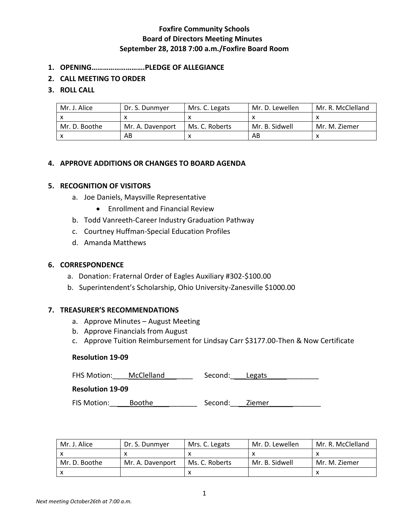- **1. OPENING……………………….PLEDGE OF ALLEGIANCE**
- **2. CALL MEETING TO ORDER**

### **3. ROLL CALL**

| Mr. J. Alice  | Dr. S. Dunmyer   | Mrs. C. Legats | Mr. D. Lewellen | Mr. R. McClelland |
|---------------|------------------|----------------|-----------------|-------------------|
|               |                  |                |                 |                   |
| Mr. D. Boothe | Mr. A. Davenport | Ms. C. Roberts | Mr. B. Sidwell  | Mr. M. Ziemer     |
|               | AB               |                | AB              |                   |

# **4. APPROVE ADDITIONS OR CHANGES TO BOARD AGENDA**

### **5. RECOGNITION OF VISITORS**

- a. Joe Daniels, Maysville Representative
	- Enrollment and Financial Review
- b. Todd Vanreeth-Career Industry Graduation Pathway
- c. Courtney Huffman-Special Education Profiles
- d. Amanda Matthews

### **6. CORRESPONDENCE**

- a. Donation: Fraternal Order of Eagles Auxiliary #302-\$100.00
- b. Superintendent's Scholarship, Ohio University-Zanesville \$1000.00

## **7. TREASURER'S RECOMMENDATIONS**

- a. Approve Minutes August Meeting
- b. Approve Financials from August
- c. Approve Tuition Reimbursement for Lindsay Carr \$3177.00-Then & Now Certificate

### **Resolution 19-09**

| <b>McClelland</b><br><b>FHS Motion:</b> | Second: | Legats |  |
|-----------------------------------------|---------|--------|--|
|-----------------------------------------|---------|--------|--|

#### **Resolution 19-09**

FIS Motion: \_\_\_\_Boothe \_\_\_\_\_\_\_\_\_\_\_\_\_\_\_\_\_\_\_\_\_\_\_\_\_\_\_\_Second: \_\_\_\_Ziemer

| Mr. J. Alice  | Dr. S. Dunmyer   | Mrs. C. Legats | Mr. D. Lewellen | Mr. R. McClelland |
|---------------|------------------|----------------|-----------------|-------------------|
|               |                  |                |                 |                   |
| Mr. D. Boothe | Mr. A. Davenport | Ms. C. Roberts | Mr. B. Sidwell  | Mr. M. Ziemer     |
|               |                  |                |                 |                   |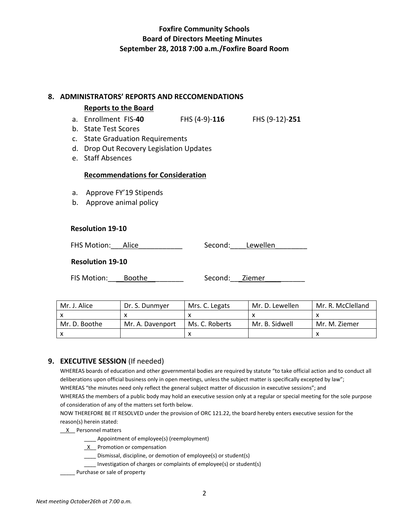# **8. ADMINISTRATORS' REPORTS AND RECCOMENDATIONS**

# **Reports to the Board**

- a. Enrollment FIS-**40** FHS (4-9)-**116** FHS (9-12)-**251**
- b. State Test Scores
- c. State Graduation Requirements
- d. Drop Out Recovery Legislation Updates
- e. Staff Absences

# **Recommendations for Consideration**

- a. Approve FY'19 Stipends
- b. Approve animal policy

## **Resolution 19-10**

FHS Motion: Alice The Second: Lewellen

# **Resolution 19-10**

FIS Motion: <u>Boothe</u> \_ \_ \_ \_ \_ \_ Second: \_ \_ Ziemer

| Mr. J. Alice  | Dr. S. Dunmyer   | Mrs. C. Legats | Mr. D. Lewellen | Mr. R. McClelland |
|---------------|------------------|----------------|-----------------|-------------------|
|               |                  |                |                 |                   |
| Mr. D. Boothe | Mr. A. Davenport | Ms. C. Roberts | Mr. B. Sidwell  | Mr. M. Ziemer     |
|               |                  |                |                 |                   |

# **9. EXECUTIVE SESSION** (If needed)

WHEREAS boards of education and other governmental bodies are required by statute "to take official action and to conduct all deliberations upon official business only in open meetings, unless the subject matter is specifically excepted by law";

WHEREAS "the minutes need only reflect the general subject matter of discussion in executive sessions"; and

WHEREAS the members of a public body may hold an executive session only at a regular or special meeting for the sole purpose of consideration of any of the matters set forth below.

NOW THEREFORE BE IT RESOLVED under the provision of ORC 121.22, the board hereby enters executive session for the reason(s) herein stated:

**X** Personnel matters

- \_\_\_\_ Appointment of employee(s) (reemployment)
- X Promotion or compensation
- \_\_\_\_ Dismissal, discipline, or demotion of employee(s) or student(s)
- Investigation of charges or complaints of employee(s) or student(s)
- Purchase or sale of property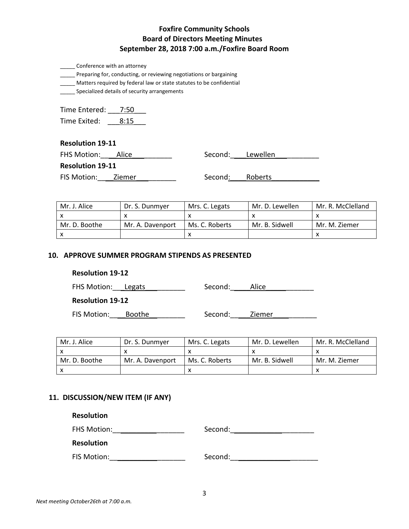**\_\_\_\_\_** Conference with an attorney

\_\_\_\_\_ Preparing for, conducting, or reviewing negotiations or bargaining

\_\_\_\_\_ Matters required by federal law or state statutes to be confidential

**\_\_\_\_\_** Specialized details of security arrangements

Time Entered:  $\qquad 7:50$ Time Exited: 8:15

# **Resolution 19-11**

| <b>FHS Motion:</b>      | Alice  | Second: | Lewellen       |
|-------------------------|--------|---------|----------------|
| <b>Resolution 19-11</b> |        |         |                |
| FIS Motion:             | Ziemer | Second: | <b>Roberts</b> |

| Mr. J. Alice  | Dr. S. Dunmyer   | Mrs. C. Legats | Mr. D. Lewellen | Mr. R. McClelland |
|---------------|------------------|----------------|-----------------|-------------------|
|               |                  |                |                 |                   |
| Mr. D. Boothe | Mr. A. Davenport | Ms. C. Roberts | Mr. B. Sidwell  | Mr. M. Ziemer     |
|               |                  |                |                 |                   |

## **10. APPROVE SUMMER PROGRAM STIPENDS AS PRESENTED**

### **Resolution 19-12**

FHS Motion: Legats Legats Legation: Second: Alice

**Resolution 19-12**

FIS Motion:\_\_\_\_Boothe\_\_\_\_\_\_\_\_\_ Second:\_\_\_\_\_Ziemer\_\_\_\_\_\_\_\_\_\_\_

| Mr. J. Alice  | Dr. S. Dunmyer   | Mrs. C. Legats | Mr. D. Lewellen | Mr. R. McClelland |
|---------------|------------------|----------------|-----------------|-------------------|
|               |                  |                |                 |                   |
| Mr. D. Boothe | Mr. A. Davenport | Ms. C. Roberts | Mr. B. Sidwell  | Mr. M. Ziemer     |
|               |                  |                |                 |                   |

### **11. DISCUSSION/NEW ITEM (IF ANY)**

| <b>Resolution</b> |         |
|-------------------|---------|
| FHS Motion:       | Second: |
| <b>Resolution</b> |         |
| FIS Motion:       | Second: |